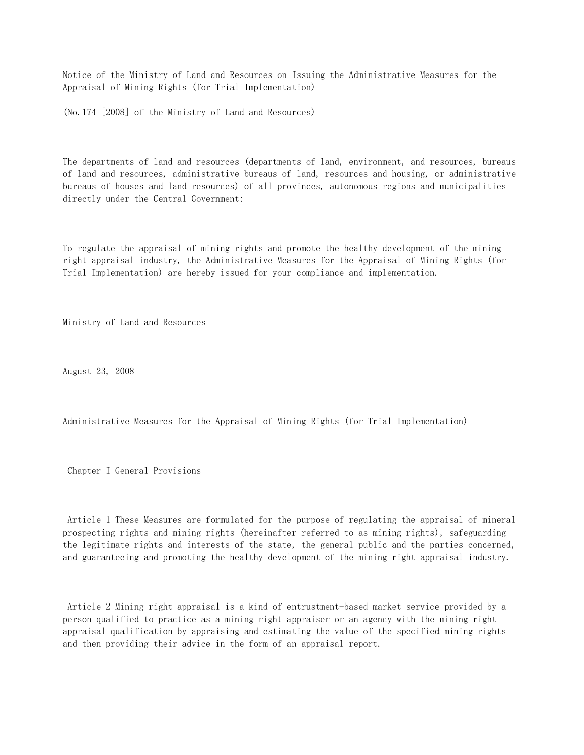Notice of the Ministry of Land and Resources on Issuing the Administrative Measures for the Appraisal of Mining Rights (for Trial Implementation)

(No.174 [2008] of the Ministry of Land and Resources)

The departments of land and resources (departments of land, environment, and resources, bureaus of land and resources, administrative bureaus of land, resources and housing, or administrative bureaus of houses and land resources) of all provinces, autonomous regions and municipalities directly under the Central Government:

To regulate the appraisal of mining rights and promote the healthy development of the mining right appraisal industry, the Administrative Measures for the Appraisal of Mining Rights (for Trial Implementation) are hereby issued for your compliance and implementation.

Ministry of Land and Resources

August 23, 2008

Administrative Measures for the Appraisal of Mining Rights (for Trial Implementation)

Chapter I General Provisions

 Article 1 These Measures are formulated for the purpose of regulating the appraisal of mineral prospecting rights and mining rights (hereinafter referred to as mining rights), safeguarding the legitimate rights and interests of the state, the general public and the parties concerned, and guaranteeing and promoting the healthy development of the mining right appraisal industry.

 Article 2 Mining right appraisal is a kind of entrustment-based market service provided by a person qualified to practice as a mining right appraiser or an agency with the mining right appraisal qualification by appraising and estimating the value of the specified mining rights and then providing their advice in the form of an appraisal report.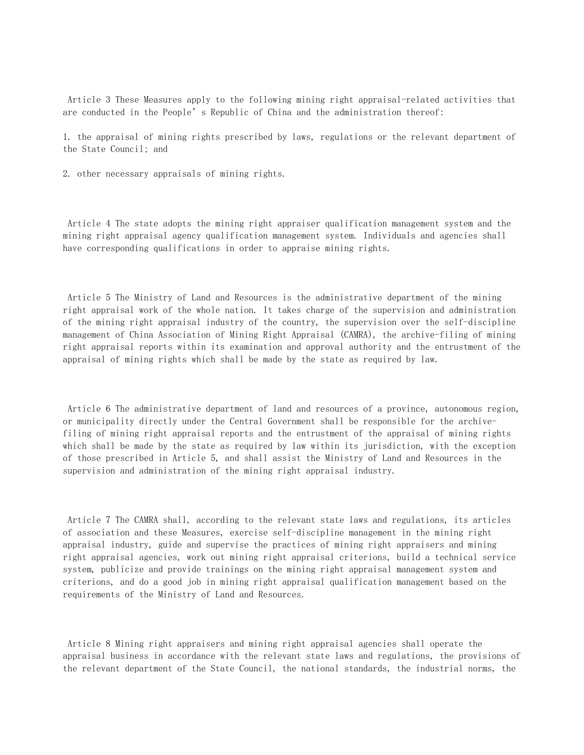Article 3 These Measures apply to the following mining right appraisal-related activities that are conducted in the People's Republic of China and the administration thereof:

1. the appraisal of mining rights prescribed by laws, regulations or the relevant department of the State Council; and

2. other necessary appraisals of mining rights.

 Article 4 The state adopts the mining right appraiser qualification management system and the mining right appraisal agency qualification management system. Individuals and agencies shall have corresponding qualifications in order to appraise mining rights.

 Article 5 The Ministry of Land and Resources is the administrative department of the mining right appraisal work of the whole nation. It takes charge of the supervision and administration of the mining right appraisal industry of the country, the supervision over the self-discipline management of China Association of Mining Right Appraisal (CAMRA), the archive-filing of mining right appraisal reports within its examination and approval authority and the entrustment of the appraisal of mining rights which shall be made by the state as required by law.

 Article 6 The administrative department of land and resources of a province, autonomous region, or municipality directly under the Central Government shall be responsible for the archivefiling of mining right appraisal reports and the entrustment of the appraisal of mining rights which shall be made by the state as required by law within its jurisdiction, with the exception of those prescribed in Article 5, and shall assist the Ministry of Land and Resources in the supervision and administration of the mining right appraisal industry.

 Article 7 The CAMRA shall, according to the relevant state laws and regulations, its articles of association and these Measures, exercise self-discipline management in the mining right appraisal industry, guide and supervise the practices of mining right appraisers and mining right appraisal agencies, work out mining right appraisal criterions, build a technical service system, publicize and provide trainings on the mining right appraisal management system and criterions, and do a good job in mining right appraisal qualification management based on the requirements of the Ministry of Land and Resources.

 Article 8 Mining right appraisers and mining right appraisal agencies shall operate the appraisal business in accordance with the relevant state laws and regulations, the provisions of the relevant department of the State Council, the national standards, the industrial norms, the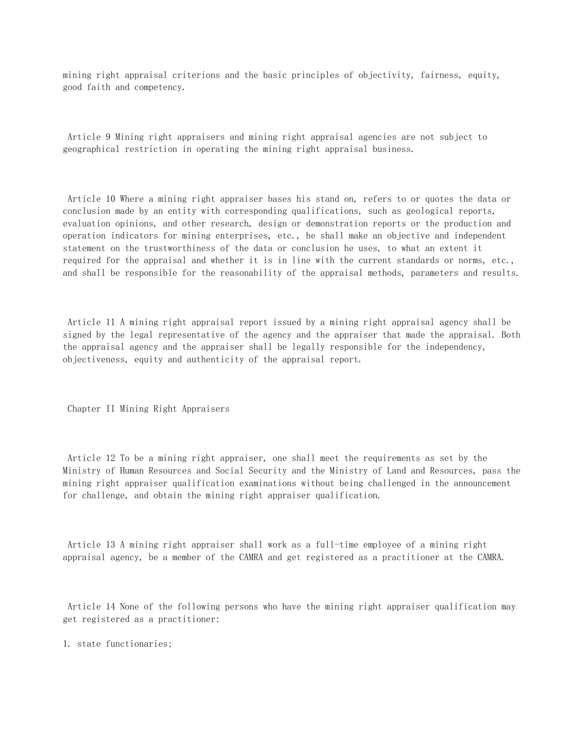mining right appraisal criterions and the basic principles of objectivity, fairness, equity, good faith and competency.

 Article 9 Mining right appraisers and mining right appraisal agencies are not subject to geographical restriction in operating the mining right appraisal business.

 Article 10 Where a mining right appraiser bases his stand on, refers to or quotes the data or conclusion made by an entity with corresponding qualifications, such as geological reports, evaluation opinions, and other research, design or demonstration reports or the production and operation indicators for mining enterprises, etc., he shall make an objective and independent statement on the trustworthiness of the data or conclusion he uses, to what an extent it required for the appraisal and whether it is in line with the current standards or norms, etc., and shall be responsible for the reasonability of the appraisal methods, parameters and results.

 Article 11 A mining right appraisal report issued by a mining right appraisal agency shall be signed by the legal representative of the agency and the appraiser that made the appraisal. Both the appraisal agency and the appraiser shall be legally responsible for the independency, objectiveness, equity and authenticity of the appraisal report.

Chapter II Mining Right Appraisers

 Article 12 To be a mining right appraiser, one shall meet the requirements as set by the Ministry of Human Resources and Social Security and the Ministry of Land and Resources, pass the mining right appraiser qualification examinations without being challenged in the announcement for challenge, and obtain the mining right appraiser qualification.

 Article 13 A mining right appraiser shall work as a full-time employee of a mining right appraisal agency, be a member of the CAMRA and get registered as a practitioner at the CAMRA.

 Article 14 None of the following persons who have the mining right appraiser qualification may get registered as a practitioner:

1. state functionaries;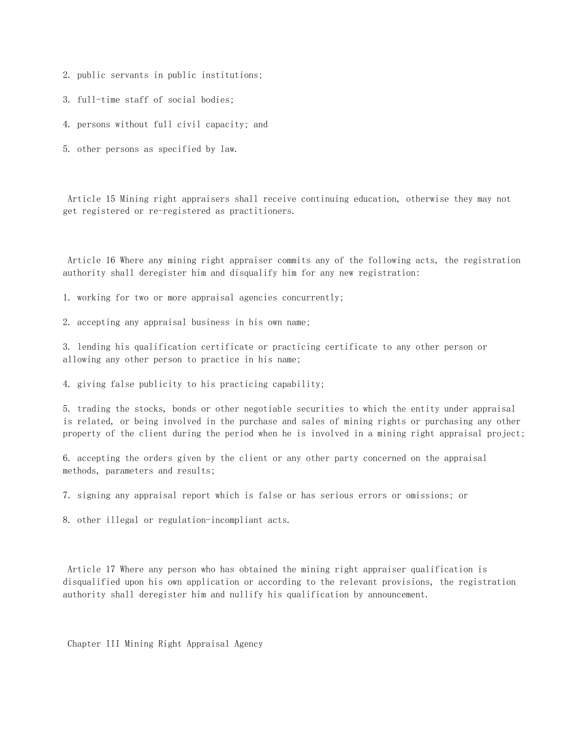- 2. public servants in public institutions;
- 3. full-time staff of social bodies;
- 4. persons without full civil capacity; and
- 5. other persons as specified by law.

 Article 15 Mining right appraisers shall receive continuing education, otherwise they may not get registered or re-registered as practitioners.

 Article 16 Where any mining right appraiser commits any of the following acts, the registration authority shall deregister him and disqualify him for any new registration:

- 1. working for two or more appraisal agencies concurrently;
- 2. accepting any appraisal business in his own name;

3. lending his qualification certificate or practicing certificate to any other person or allowing any other person to practice in his name;

4. giving false publicity to his practicing capability;

5. trading the stocks, bonds or other negotiable securities to which the entity under appraisal is related, or being involved in the purchase and sales of mining rights or purchasing any other property of the client during the period when he is involved in a mining right appraisal project;

6. accepting the orders given by the client or any other party concerned on the appraisal methods, parameters and results;

- 7. signing any appraisal report which is false or has serious errors or omissions; or
- 8. other illegal or regulation-incompliant acts.

 Article 17 Where any person who has obtained the mining right appraiser qualification is disqualified upon his own application or according to the relevant provisions, the registration authority shall deregister him and nullify his qualification by announcement.

Chapter III Mining Right Appraisal Agency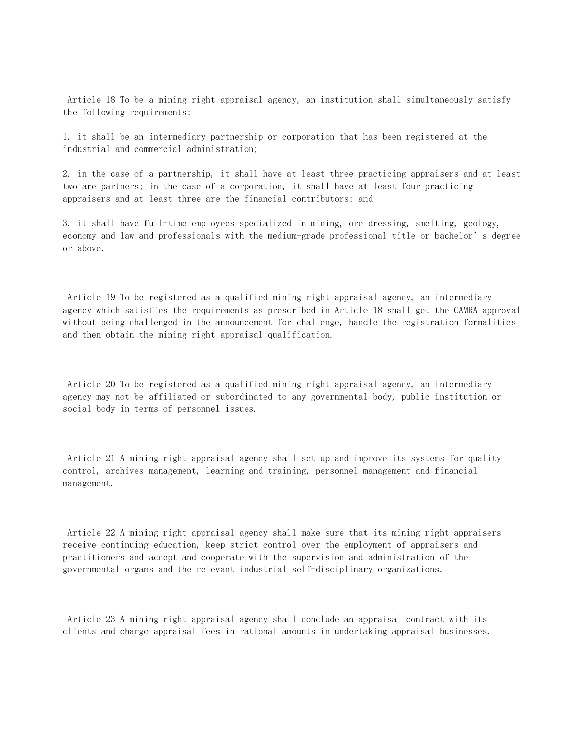Article 18 To be a mining right appraisal agency, an institution shall simultaneously satisfy the following requirements:

1. it shall be an intermediary partnership or corporation that has been registered at the industrial and commercial administration;

2. in the case of a partnership, it shall have at least three practicing appraisers and at least two are partners; in the case of a corporation, it shall have at least four practicing appraisers and at least three are the financial contributors; and

3. it shall have full-time employees specialized in mining, ore dressing, smelting, geology, economy and law and professionals with the medium-grade professional title or bachelor's degree or above.

 Article 19 To be registered as a qualified mining right appraisal agency, an intermediary agency which satisfies the requirements as prescribed in Article 18 shall get the CAMRA approval without being challenged in the announcement for challenge, handle the registration formalities and then obtain the mining right appraisal qualification.

 Article 20 To be registered as a qualified mining right appraisal agency, an intermediary agency may not be affiliated or subordinated to any governmental body, public institution or social body in terms of personnel issues.

 Article 21 A mining right appraisal agency shall set up and improve its systems for quality control, archives management, learning and training, personnel management and financial management.

 Article 22 A mining right appraisal agency shall make sure that its mining right appraisers receive continuing education, keep strict control over the employment of appraisers and practitioners and accept and cooperate with the supervision and administration of the governmental organs and the relevant industrial self-disciplinary organizations.

 Article 23 A mining right appraisal agency shall conclude an appraisal contract with its clients and charge appraisal fees in rational amounts in undertaking appraisal businesses.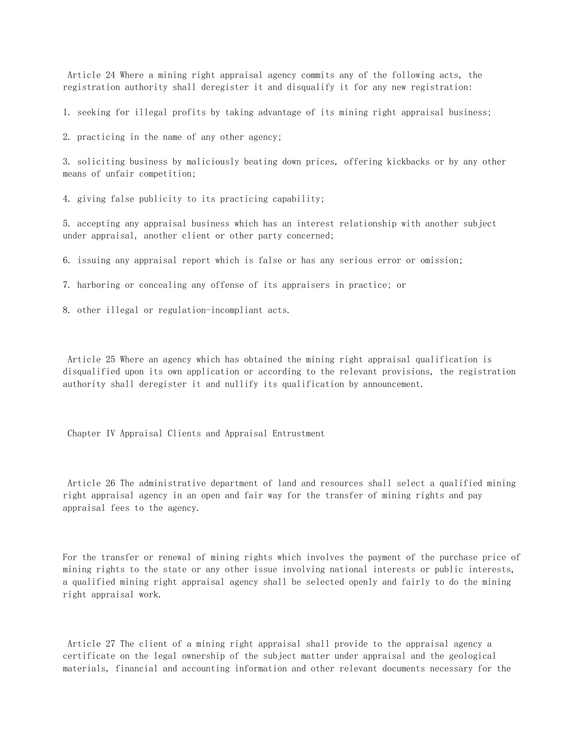Article 24 Where a mining right appraisal agency commits any of the following acts, the registration authority shall deregister it and disqualify it for any new registration:

1. seeking for illegal profits by taking advantage of its mining right appraisal business;

2. practicing in the name of any other agency;

3. soliciting business by maliciously beating down prices, offering kickbacks or by any other means of unfair competition;

4. giving false publicity to its practicing capability;

5. accepting any appraisal business which has an interest relationship with another subject under appraisal, another client or other party concerned;

6. issuing any appraisal report which is false or has any serious error or omission;

7. harboring or concealing any offense of its appraisers in practice; or

8. other illegal or regulation-incompliant acts.

 Article 25 Where an agency which has obtained the mining right appraisal qualification is disqualified upon its own application or according to the relevant provisions, the registration authority shall deregister it and nullify its qualification by announcement.

Chapter IV Appraisal Clients and Appraisal Entrustment

 Article 26 The administrative department of land and resources shall select a qualified mining right appraisal agency in an open and fair way for the transfer of mining rights and pay appraisal fees to the agency.

For the transfer or renewal of mining rights which involves the payment of the purchase price of mining rights to the state or any other issue involving national interests or public interests, a qualified mining right appraisal agency shall be selected openly and fairly to do the mining right appraisal work.

 Article 27 The client of a mining right appraisal shall provide to the appraisal agency a certificate on the legal ownership of the subject matter under appraisal and the geological materials, financial and accounting information and other relevant documents necessary for the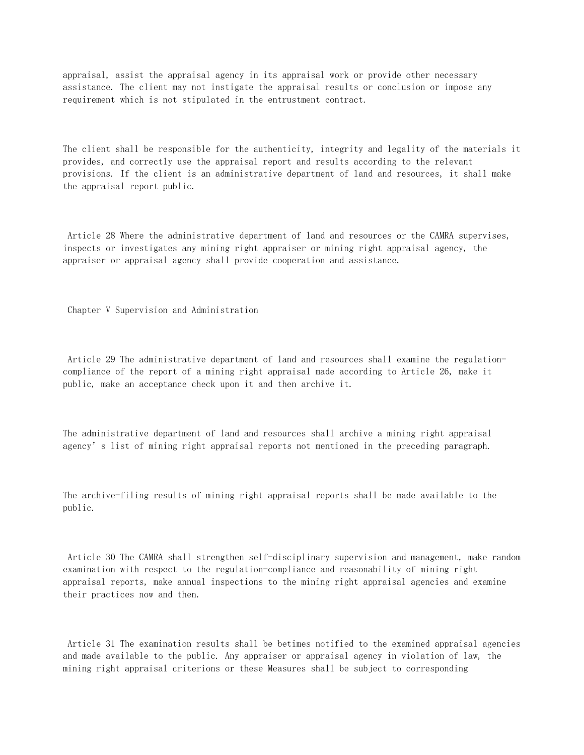appraisal, assist the appraisal agency in its appraisal work or provide other necessary assistance. The client may not instigate the appraisal results or conclusion or impose any requirement which is not stipulated in the entrustment contract.

The client shall be responsible for the authenticity, integrity and legality of the materials it provides, and correctly use the appraisal report and results according to the relevant provisions. If the client is an administrative department of land and resources, it shall make the appraisal report public.

 Article 28 Where the administrative department of land and resources or the CAMRA supervises, inspects or investigates any mining right appraiser or mining right appraisal agency, the appraiser or appraisal agency shall provide cooperation and assistance.

Chapter V Supervision and Administration

 Article 29 The administrative department of land and resources shall examine the regulationcompliance of the report of a mining right appraisal made according to Article 26, make it public, make an acceptance check upon it and then archive it.

The administrative department of land and resources shall archive a mining right appraisal agency's list of mining right appraisal reports not mentioned in the preceding paragraph.

The archive-filing results of mining right appraisal reports shall be made available to the public.

 Article 30 The CAMRA shall strengthen self-disciplinary supervision and management, make random examination with respect to the regulation-compliance and reasonability of mining right appraisal reports, make annual inspections to the mining right appraisal agencies and examine their practices now and then.

 Article 31 The examination results shall be betimes notified to the examined appraisal agencies and made available to the public. Any appraiser or appraisal agency in violation of law, the mining right appraisal criterions or these Measures shall be subject to corresponding